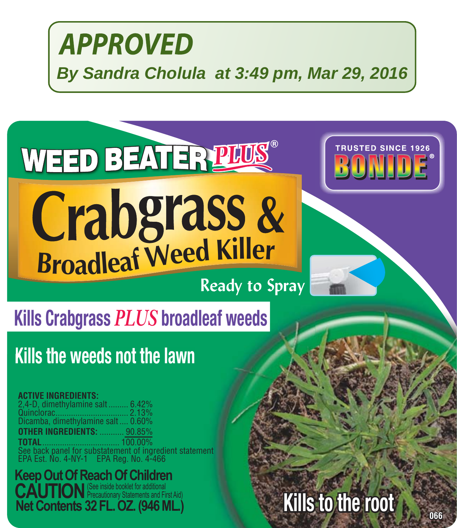## **WEED BEATER PLUS**®



# Erabgrass &<br>Broadleaf Weed Killer

### **Ready to Spray**

## **Kills Crabgrass** *PLUS* **broadleaf weeds**

## **Kills the weeds not the lawn**

#### **ACTIVE INGREDIENTS:**

2,4-D, dimethylamine salt ......... 6.42% Quinclorac................................. 2.13% Dicamba, dimethylamine salt .... 0.60% **FR INGREDIENTS: TOTAL**................................... 100.00% See back panel for substatement of ingredient statement EPA Est. No. 4-NY-1 EPA Reg. No. 4-466

**1966 1066 1066 1066 1066 1066 1066 1066 1066 1066 1066 1066 1066 1066 1066 1066 1066 Keep Out Of Reach Of Children**<br>**CAUTION** Precautionary Statements and First Aid

## **Kills to the root**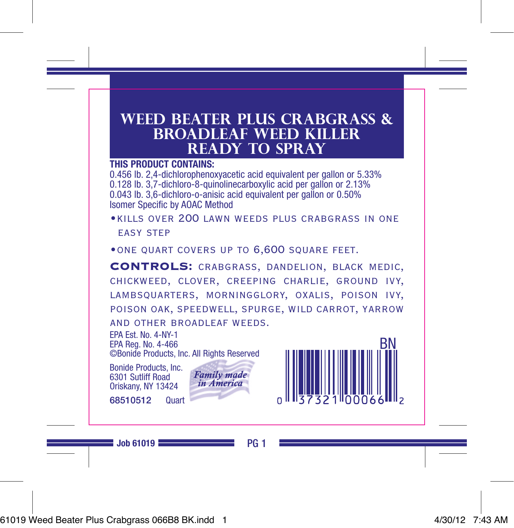#### **Weed Beater Plus Crabgrass & Broadleaf Weed Killer ready to spray**

#### **THIS PRODUCT CONTAINS:**

0.456 lb. 2,4-dichlorophenoxyacetic acid equivalent per gallon or 5.33% 0.128 lb. 3,7-dichloro-8-quinolinecarboxylic acid per gallon or 2.13% 0.043 lb. 3,6-dichloro-o-anisic acid equivalent per gallon or 0.50% Isomer Specific by AOAC Method

- •kills over 200 lawn weeds plus crabgrass in one easy step
- ONE QUART COVERS UP TO 6,600 SQUARE FEET.

CONTROLS: crabgrass, dandelion, black medic, chickweed, clover, creeping charlie, ground ivy, lambsquarters, morningglory, oxalis, poison ivy, poison oak, speedwell, spurge, wild carrot, yarrow and other broadleaf weeds.

EPA Est. No. 4-NY-1

EPA Reg. No. 4-466 ©Bonide Products, Inc. All Rights Reserved

Bonide Products, Inc. 6301 Sutliff Road Oriskany, NY 13424

68510512 Quart



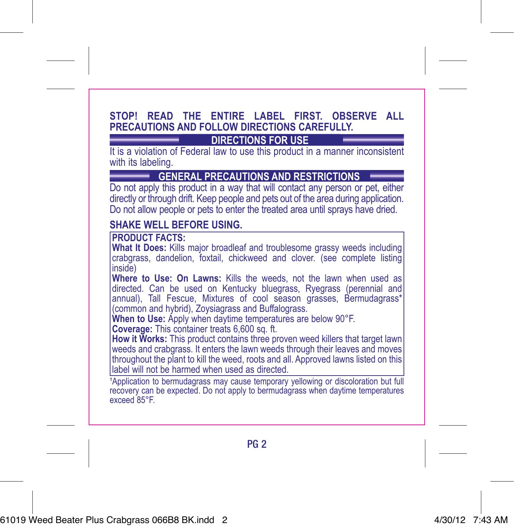#### **STOP! READ THE ENTIRE LABEL FIRST. OBSERVE ALL PRECAUTIONS AND FOLLOW DIRECTIONS CAREFULLY.**

#### **DIRECTIONS FOR USE**

It is a violation of Federal law to use this product in a manner inconsistent with its labeling.

**GENERAL PRECAUTIONS AND RESTRICTIONS**

Do not apply this product in a way that will contact any person or pet, either directly or through drift. Keep people and pets out of the area during application. Do not allow people or pets to enter the treated area until sprays have dried.

#### **SHAKE WELL BEFORE USING.**

**PRODUCT FACTS:**

**What It Does:** Kills major broadleaf and troublesome grassy weeds including crabgrass, dandelion, foxtail, chickweed and clover. (see complete listing inside)

**Where to Use: On Lawns:** Kills the weeds, not the lawn when used as directed. Can be used on Kentucky bluegrass, Ryegrass (perennial and annual), Tall Fescue, Mixtures of cool season grasses, Bermudagrass\*

(common and hybrid), Zoysiagrass and Buffalograss. **When to Use:** Apply when daytime temperatures are below 90°F.

**Coverage: This container treats 6,600 sq. ft.** 

**How it Works:** This product contains three proven weed killers that target lawn weeds and crabgrass. It enters the lawn weeds through their leaves and moves throughout the plant to kill the weed, roots and all. Approved lawns listed on this label will not be harmed when used as directed.

<sup>1</sup>Application to bermudagrass may cause temporary yellowing or discoloration but full recovery can be expected. Do not apply to bermudagrass when daytime temperatures exceed 85°F.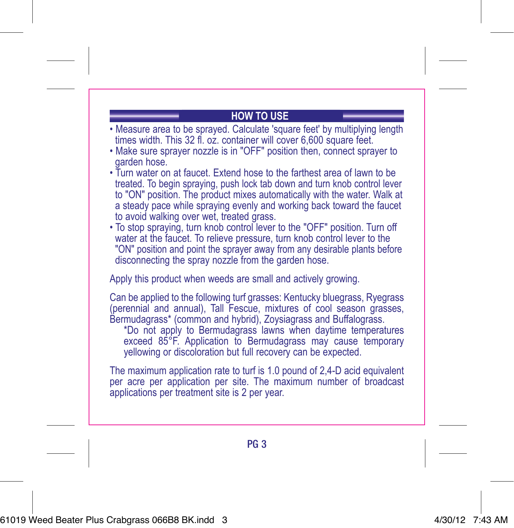#### **HOW TO USE**

- Measure area to be sprayed. Calculate 'square feet' by multiplying length times width. This 32 fl. oz. container will cover 6,600 square feet.
- Make sure sprayer nozzle is in "OFF" position then, connect sprayer to garden hose.
- Turn water on at faucet. Extend hose to the farthest area of lawn to be treated. To begin spraying, push lock tab down and turn knob control lever to "ON" position. The product mixes automatically with the water. Walk at a steady pace while spraying evenly and working back toward the faucet to avoid walking over wet, treated grass.
- To stop spraying, turn knob control lever to the "OFF" position. Turn off water at the faucet. To relieve pressure, turn knob control lever to the "ON" position and point the sprayer away from any desirable plants before disconnecting the spray nozzle from the garden hose.

Apply this product when weeds are small and actively growing.

Can be applied to the following turf grasses: Kentucky bluegrass, Ryegrass (perennial and annual), Tall Fescue, mixtures of cool season grasses, Bermudagrass\* (common and hybrid), Zoysiagrass and Buffalograss.

\*Do not apply to Bermudagrass lawns when daytime temperatures exceed 85°F. Application to Bermudagrass may cause temporary yellowing or discoloration but full recovery can be expected.

The maximum application rate to turf is 1.0 pound of 2,4-D acid equivalent per acre per application per site. The maximum number of broadcast applications per treatment site is 2 per year.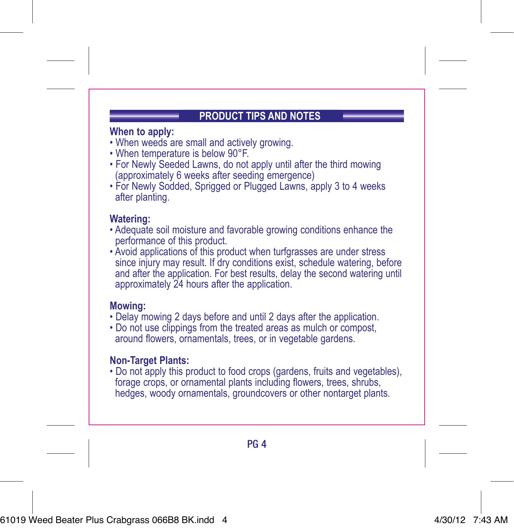#### **PRODUCT TIPS AND NOTES**

#### **When to apply:**

- When weeds are small and actively growing.
- When temperature is below 90°F.
- For Newly Seeded Lawns, do not apply until after the third mowing (approximately 6 weeks after seeding emergence)
- For Newly Sodded, Sprigged or Plugged Lawns, apply 3 to 4 weeks after planting.

#### **Watering:**

- Adequate soil moisture and favorable growing conditions enhance the performance of this product.
- Avoid applications of this product when turfgrasses are under stress since injury may result. If dry conditions exist, schedule watering, before and after the application. For best results, delay the second watering until approximately 24 hours after the application.

#### **Mowing:**

- Delay mowing 2 days before and until 2 days after the application.
- Do not use clippings from the treated areas as mulch or compost, around flowers, ornamentals, trees, or in vegetable gardens.

#### **Non-Target Plants:**

• Do not apply this product to food crops (gardens, fruits and vegetables), forage crops, or ornamental plants including flowers, trees, shrubs, hedges, woody ornamentals, groundcovers or other nontarget plants.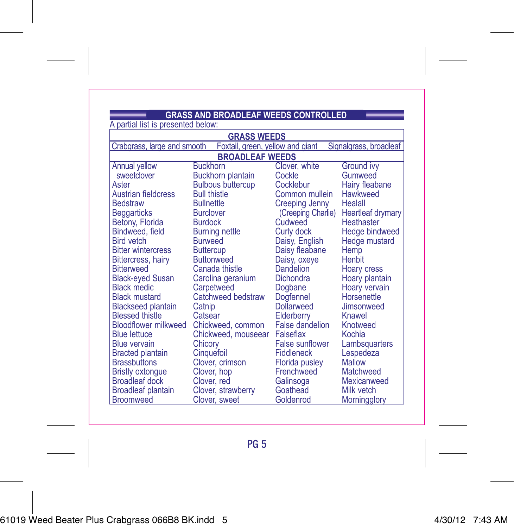## A partial list is presented below: **GRASS AND BROADLEAF WEEDS CONTROLLED**

| <b>GRASS WEEDS</b>                                                                        |                          |                        |                   |  |  |
|-------------------------------------------------------------------------------------------|--------------------------|------------------------|-------------------|--|--|
| Signalgrass, broadleaf<br>Crabgrass, large and smooth<br>Foxtail, green, yellow and giant |                          |                        |                   |  |  |
| <b>BROADLEAF WEEDS</b>                                                                    |                          |                        |                   |  |  |
| Annual yellow                                                                             | <b>Buckhorn</b>          | Clover, white          | <b>Ground ivv</b> |  |  |
| sweetclover                                                                               | <b>Buckhorn plantain</b> | Cockle                 | Gumweed           |  |  |
| Aster                                                                                     | <b>Bulbous buttercup</b> | Cocklebur              | Hairy fleabane    |  |  |
| <b>Austrian fieldcress</b>                                                                | <b>Bull thistle</b>      | Common mullein         | Hawkweed          |  |  |
| <b>Bedstraw</b>                                                                           | <b>Bullnettle</b>        | Creeping Jenny         | Healall           |  |  |
| <b>Beggarticks</b>                                                                        | <b>Burclover</b>         | (Creeping Charlie)     | Heartleaf drymary |  |  |
| Betony, Florida                                                                           | <b>Burdock</b>           | Cudweed                | Heathaster        |  |  |
| Bindweed, field                                                                           | <b>Burning nettle</b>    | Curly dock             | Hedge bindweed    |  |  |
| <b>Bird</b> vetch                                                                         | <b>Burweed</b>           | Daisy, English         | Hedge mustard     |  |  |
| <b>Bitter wintercress</b>                                                                 | <b>Buttercup</b>         | Daisy fleabane         | Hemp              |  |  |
| <b>Bittercress, hairy</b>                                                                 | <b>Buttonweed</b>        | Daisy, oxeye           | Henbit            |  |  |
| <b>Bitterweed</b>                                                                         | Canada thistle           | Dandelion              | Hoary cress       |  |  |
| <b>Black-eyed Susan</b>                                                                   | Carolina geranium        | Dichondra              | Hoary plantain    |  |  |
| <b>Black medic</b>                                                                        | Carpetweed               | Dogbane                | Hoary vervain     |  |  |
| <b>Black mustard</b>                                                                      | Catchweed bedstraw       | Dogfennel              | Horsenettle       |  |  |
| <b>Blackseed plantain</b>                                                                 | Catnip                   | Dollarweed             | Jimsonweed        |  |  |
| <b>Blessed thistle</b>                                                                    | Catsear                  | Elderberry             | Knawel            |  |  |
| <b>Bloodflower milkweed</b>                                                               | Chickweed, common        | <b>False dandelion</b> | Knotweed          |  |  |
| <b>Blue lettuce</b>                                                                       | Chickweed, mouseear      | Falseflax              | Kochia            |  |  |
| <b>Blue vervain</b>                                                                       | Chicory                  | <b>False sunflower</b> | Lambsquarters     |  |  |
| <b>Bracted plantain</b>                                                                   | Cinquefoil               | <b>Fiddleneck</b>      | Lespedeza         |  |  |
| <b>Brassbuttons</b>                                                                       | Clover, crimson          | <b>Florida pusley</b>  | Mallow            |  |  |
| <b>Bristly oxtonque</b>                                                                   | Clover, hop              | Frenchweed             | Matchweed         |  |  |
| <b>Broadleaf dock</b>                                                                     | Clover, red              | Galinsoga              | Mexicanweed       |  |  |
| <b>Broadleaf plantain</b>                                                                 | Clover, strawberry       | Goathead               | Milk vetch        |  |  |
| <b>Broomweed</b>                                                                          | Clover, sweet            | Goldenrod              | Morningglory      |  |  |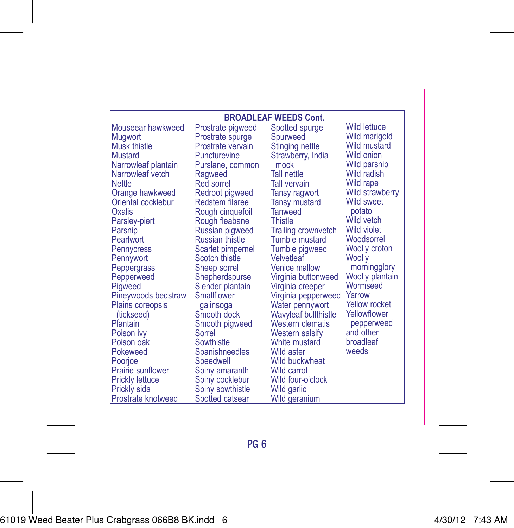| <b>BROADLEAF WEEDS Cont.</b> |                   |                             |                        |  |
|------------------------------|-------------------|-----------------------------|------------------------|--|
| Mouseear hawkweed            | Prostrate pigweed | Spotted spurge              | <b>Wild lettuce</b>    |  |
| Mugwort                      | Prostrate spurge  | Spurweed                    | Wild marigold          |  |
| Musk thistle                 | Prostrate vervain | Stinging nettle             | <b>Wild mustard</b>    |  |
| <b>Mustard</b>               | Puncturevine      | Strawberry, India           | Wild onion             |  |
| Narrowleaf plantain          | Purslane, common  | mock                        | Wild parsnip           |  |
| Narrowleaf vetch             | Ragweed           | <b>Tall nettle</b>          | Wild radish            |  |
| Nettle                       | Red sorrel        | <b>Tall vervain</b>         | Wild rape              |  |
| Orange hawkweed              | Redroot pigweed   | Tansy ragwort               | <b>Wild strawberry</b> |  |
| Oriental cocklebur           | Redstem filaree   | <b>Tansy mustard</b>        | Wild sweet             |  |
| Oxalis                       | Rough cinquefoil  | <b>Tanweed</b>              | potato                 |  |
| Parsley-piert                | Rough fleabane    | Thistle                     | Wild vetch             |  |
| Parsnip                      | Russian pigweed   | <b>Trailing crownvetch</b>  | Wild violet            |  |
| Pearlwort                    | Russian thistle   | Tumble mustard              | Woodsorrel             |  |
| Pennycress                   | Scarlet pimpernel | Tumble pigweed              | Woolly croton          |  |
| Pennywort                    | Scotch thistle    | Velvetleaf                  | Woolly                 |  |
| Peppergrass                  | Sheep sorrel      | Venice mallow               | morningglory           |  |
| Pepperweed                   | Shepherdspurse    | Virginia buttonweed         | Woolly plantain        |  |
| Pigweed                      | Slender plantain  | Virginia creeper            | Wormseed               |  |
| Pineywoods bedstraw          | Smallflower       | Virginia pepperweed         | Yarrow                 |  |
| <b>Plains coreopsis</b>      | galinsoga         | Water pennywort             | <b>Yellow rocket</b>   |  |
| (tickseed)                   | Smooth dock       | <b>Wavyleaf bullthistle</b> | Yellowflower           |  |
| Plantain                     | Smooth pigweed    | <b>Western clematis</b>     | pepperweed             |  |
| Poison ivy                   | Sorrel            | Western salsify             | and other              |  |
| Poison oak                   | Sowthistle        | White mustard               | broadleaf              |  |
| Pokeweed                     | Spanishneedles    | Wild aster                  | weeds                  |  |
| Poorjoe                      | Speedwell         | Wild buckwheat              |                        |  |
| Prairie sunflower            | Spiny amaranth    | Wild carrot                 |                        |  |
| <b>Prickly lettuce</b>       | Spiny cocklebur   | Wild four-o'clock           |                        |  |
| Prickly sida                 | Spiny sowthistle  | Wild garlic                 |                        |  |
| Prostrate knotweed           | Spotted catsear   | Wild geranium               |                        |  |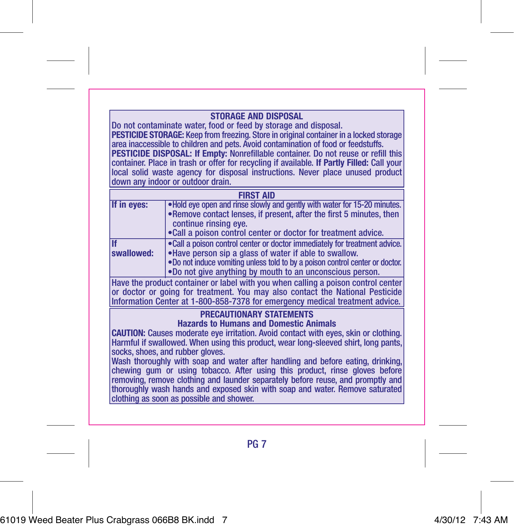#### **STORAGE AND DISPOSAL**

Do not contaminate water, food or feed by storage and disposal. **PESTICIDE STORAGE:** Keep from freezing. Store in original container in a locked storage area inaccessible to children and pets. Avoid contamination of food or feedstuffs. **PESTICIDE DISPOSAL: If Empty:** Nonrefillable container. Do not reuse or refill this container. Place in trash or offer for recycling if available. **If Partly Filled:** Call your local solid waste agency for disposal instructions. Never place unused product down any indoor or outdoor drain.

| <b>FIRST AID</b> |                                                                                                                                                                                                                                                                                 |  |
|------------------|---------------------------------------------------------------------------------------------------------------------------------------------------------------------------------------------------------------------------------------------------------------------------------|--|
| If in eves:      | . Hold eve open and rinse slowly and gently with water for 15-20 minutes.<br>•Remove contact lenses, if present, after the first 5 minutes, then<br>continue rinsing eve.<br>• Call a poison control center or doctor for treatment advice.                                     |  |
| If<br>swallowed: | . Call a poison control center or doctor immediately for treatment advice.<br>.Have person sip a glass of water if able to swallow.<br>.Do not induce vomiting unless told to by a poison control center or doctor.<br>.Do not give anything by mouth to an unconscious person. |  |

Have the product container or label with you when calling a poison control center or doctor or going for treatment. You may also contact the National Pesticide Information Center at 1-800-858-7378 for emergency medical treatment advice.

#### **PRECAUTIONARY STATEMENTS**

**Hazards to Humans and Domestic Animals**

**CAUTION:** Causes moderate eye irritation. Avoid contact with eyes, skin or clothing. Harmful if swallowed. When using this product, wear long-sleeved shirt, long pants, socks, shoes, and rubber gloves.

Wash thoroughly with soap and water after handling and before eating, drinking, chewing gum or using tobacco. After using this product, rinse gloves before removing, remove clothing and launder separately before reuse, and promptly and thoroughly wash hands and exposed skin with soap and water. Remove saturated clothing as soon as possible and shower.